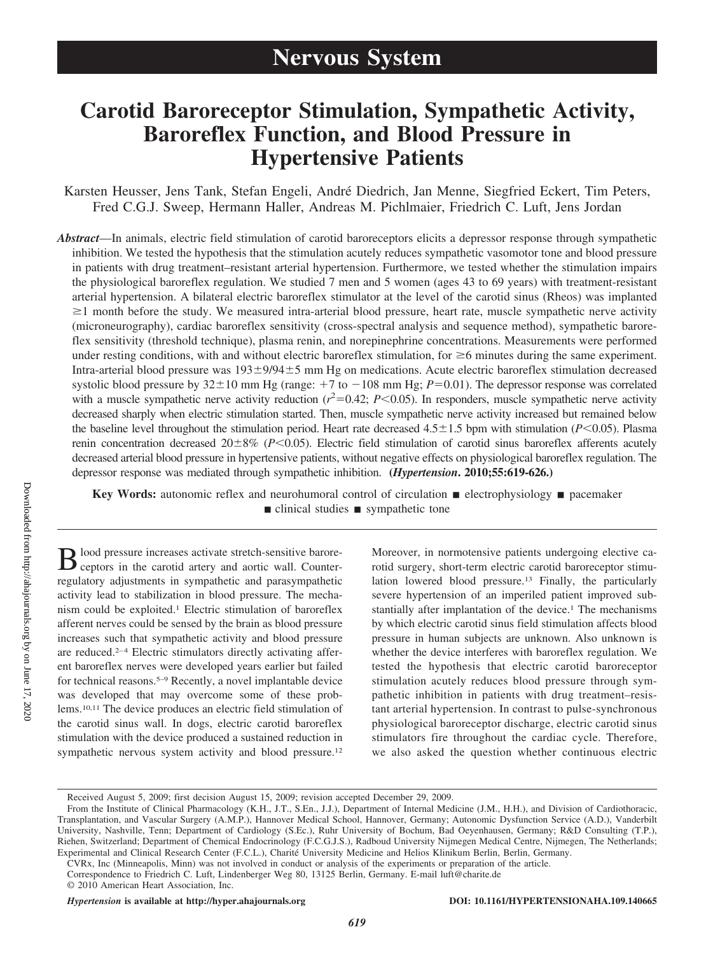# **Carotid Baroreceptor Stimulation, Sympathetic Activity, Baroreflex Function, and Blood Pressure in Hypertensive Patients**

Karsten Heusser, Jens Tank, Stefan Engeli, Andre´ Diedrich, Jan Menne, Siegfried Eckert, Tim Peters, Fred C.G.J. Sweep, Hermann Haller, Andreas M. Pichlmaier, Friedrich C. Luft, Jens Jordan

*Abstract*—In animals, electric field stimulation of carotid baroreceptors elicits a depressor response through sympathetic inhibition. We tested the hypothesis that the stimulation acutely reduces sympathetic vasomotor tone and blood pressure in patients with drug treatment–resistant arterial hypertension. Furthermore, we tested whether the stimulation impairs the physiological baroreflex regulation. We studied 7 men and 5 women (ages 43 to 69 years) with treatment-resistant arterial hypertension. A bilateral electric baroreflex stimulator at the level of the carotid sinus (Rheos) was implanted  $\geq$ 1 month before the study. We measured intra-arterial blood pressure, heart rate, muscle sympathetic nerve activity (microneurography), cardiac baroreflex sensitivity (cross-spectral analysis and sequence method), sympathetic baroreflex sensitivity (threshold technique), plasma renin, and norepinephrine concentrations. Measurements were performed under resting conditions, with and without electric baroreflex stimulation, for  $\geq 6$  minutes during the same experiment. Intra-arterial blood pressure was  $193 \pm 9/94 \pm 5$  mm Hg on medications. Acute electric baroreflex stimulation decreased systolic blood pressure by  $32 \pm 10$  mm Hg (range:  $+7$  to  $-108$  mm Hg;  $P=0.01$ ). The depressor response was correlated with a muscle sympathetic nerve activity reduction  $(r^2=0.42; P<0.05)$ . In responders, muscle sympathetic nerve activity decreased sharply when electric stimulation started. Then, muscle sympathetic nerve activity increased but remained below the baseline level throughout the stimulation period. Heart rate decreased  $4.5 \pm 1.5$  bpm with stimulation (*P*<0.05). Plasma renin concentration decreased  $20\pm8\%$  (*P*<0.05). Electric field stimulation of carotid sinus baroreflex afferents acutely decreased arterial blood pressure in hypertensive patients, without negative effects on physiological baroreflex regulation. The depressor response was mediated through sympathetic inhibition. **(***Hypertension***. 2010;55:619-626.)**

**Key Words:** autonomic reflex and neurohumoral control of circulation ■ electrophysiology ■ pacemaker  $\blacksquare$  clinical studies  $\blacksquare$  sympathetic tone

Blood pressure increases activate stretch-sensitive barore-ceptors in the carotid artery and aortic wall. Counterregulatory adjustments in sympathetic and parasympathetic activity lead to stabilization in blood pressure. The mechanism could be exploited.1 Electric stimulation of baroreflex afferent nerves could be sensed by the brain as blood pressure increases such that sympathetic activity and blood pressure are reduced.<sup>2–4</sup> Electric stimulators directly activating afferent baroreflex nerves were developed years earlier but failed for technical reasons.5–9 Recently, a novel implantable device was developed that may overcome some of these problems.10,11 The device produces an electric field stimulation of the carotid sinus wall. In dogs, electric carotid baroreflex stimulation with the device produced a sustained reduction in sympathetic nervous system activity and blood pressure.12

Moreover, in normotensive patients undergoing elective carotid surgery, short-term electric carotid baroreceptor stimulation lowered blood pressure.13 Finally, the particularly severe hypertension of an imperiled patient improved substantially after implantation of the device.<sup>1</sup> The mechanisms by which electric carotid sinus field stimulation affects blood pressure in human subjects are unknown. Also unknown is whether the device interferes with baroreflex regulation. We tested the hypothesis that electric carotid baroreceptor stimulation acutely reduces blood pressure through sympathetic inhibition in patients with drug treatment–resistant arterial hypertension. In contrast to pulse-synchronous physiological baroreceptor discharge, electric carotid sinus stimulators fire throughout the cardiac cycle. Therefore, we also asked the question whether continuous electric

CVRx, Inc (Minneapolis, Minn) was not involved in conduct or analysis of the experiments or preparation of the article.

*Hypertension* is available at http://hyper.ahajournals.org DOI: 10.1161/HYPERTENSIONAHA.109.140665

Received August 5, 2009; first decision August 15, 2009; revision accepted December 29, 2009.

From the Institute of Clinical Pharmacology (K.H., J.T., S.En., J.J.), Department of Internal Medicine (J.M., H.H.), and Division of Cardiothoracic, Transplantation, and Vascular Surgery (A.M.P.), Hannover Medical School, Hannover, Germany; Autonomic Dysfunction Service (A.D.), Vanderbilt University, Nashville, Tenn; Department of Cardiology (S.Ec.), Ruhr University of Bochum, Bad Oeyenhausen, Germany; R&D Consulting (T.P.), Riehen, Switzerland; Department of Chemical Endocrinology (F.C.G.J.S.), Radboud University Nijmegen Medical Centre, Nijmegen, The Netherlands; Experimental and Clinical Research Center (F.C.L.), Charite´ University Medicine and Helios Klinikum Berlin, Berlin, Germany.

Correspondence to Friedrich C. Luft, Lindenberger Weg 80, 13125 Berlin, Germany. E-mail luft@charite.de

<sup>© 2010</sup> American Heart Association, Inc.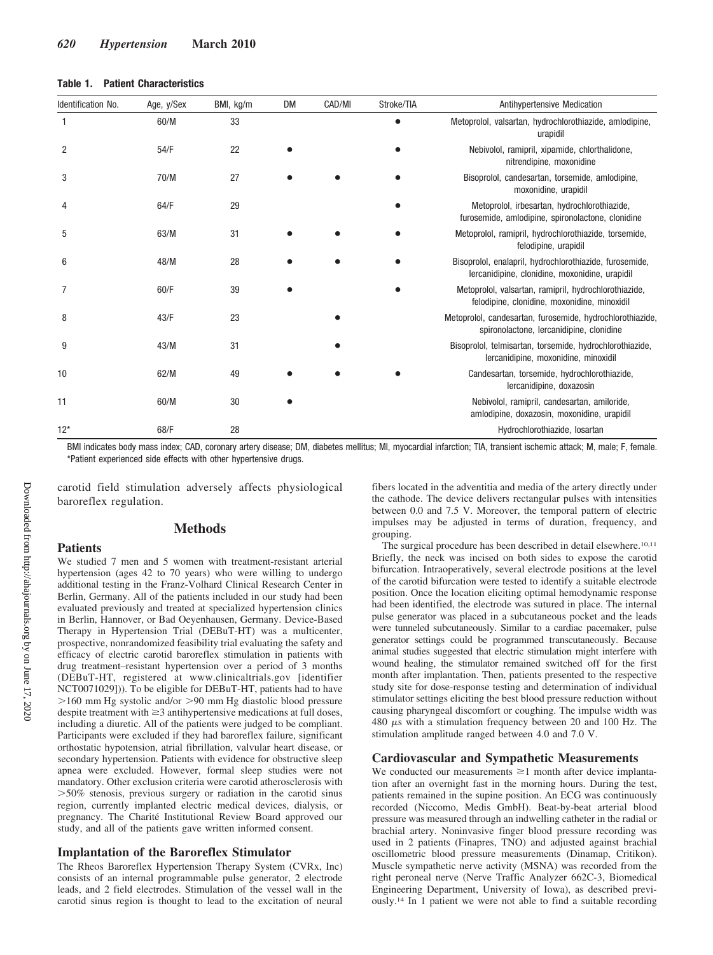| Table 1. | <b>Patient Characteristics</b> |
|----------|--------------------------------|
|          |                                |

| Identification No. | Age, y/Sex | BMI, kg/m | <b>DM</b> | CAD/MI | Stroke/TIA | Antihypertensive Medication                                                                               |
|--------------------|------------|-----------|-----------|--------|------------|-----------------------------------------------------------------------------------------------------------|
|                    | 60/M       | 33        |           |        |            | Metoprolol, valsartan, hydrochlorothiazide, amlodipine,<br>urapidil                                       |
| 2                  | 54/F       | 22        |           |        |            | Nebivolol, ramipril, xipamide, chlorthalidone,<br>nitrendipine, moxonidine                                |
| 3                  | 70/M       | 27        |           |        |            | Bisoprolol, candesartan, torsemide, amlodipine,<br>moxonidine, urapidil                                   |
| 4                  | 64/F       | 29        |           |        |            | Metoprolol, irbesartan, hydrochlorothiazide,<br>furosemide, amlodipine, spironolactone, clonidine         |
| 5                  | 63/M       | 31        |           |        |            | Metoprolol, ramipril, hydrochlorothiazide, torsemide,<br>felodipine, urapidil                             |
| 6                  | 48/M       | 28        |           |        |            | Bisoprolol, enalapril, hydrochlorothiazide, furosemide,<br>lercanidipine, clonidine, moxonidine, urapidil |
| 7                  | 60/F       | 39        |           |        |            | Metoprolol, valsartan, ramipril, hydrochlorothiazide,<br>felodipine, clonidine, moxonidine, minoxidil     |
| 8                  | 43/F       | 23        |           |        |            | Metoprolol, candesartan, furosemide, hydrochlorothiazide,<br>spironolactone, lercanidipine, clonidine     |
| 9                  | 43/M       | 31        |           |        |            | Bisoprolol, telmisartan, torsemide, hydrochlorothiazide,<br>lercanidipine, moxonidine, minoxidil          |
| 10                 | 62/M       | 49        |           |        |            | Candesartan, torsemide, hydrochlorothiazide,<br>lercanidipine, doxazosin                                  |
| 11                 | 60/M       | 30        |           |        |            | Nebivolol, ramipril, candesartan, amiloride,<br>amlodipine, doxazosin, moxonidine, urapidil               |
| $12*$              | 68/F       | 28        |           |        |            | Hydrochlorothiazide, losartan                                                                             |

BMI indicates body mass index; CAD, coronary artery disease; DM, diabetes mellitus; MI, myocardial infarction; TIA, transient ischemic attack; M, male; F, female. \*Patient experienced side effects with other hypertensive drugs.

carotid field stimulation adversely affects physiological baroreflex regulation.

# **Methods**

We studied 7 men and 5 women with treatment-resistant arterial hypertension (ages 42 to 70 years) who were willing to undergo additional testing in the Franz-Volhard Clinical Research Center in Berlin, Germany. All of the patients included in our study had been evaluated previously and treated at specialized hypertension clinics in Berlin, Hannover, or Bad Oeyenhausen, Germany. Device-Based Therapy in Hypertension Trial (DEBuT-HT) was a multicenter, prospective, nonrandomized feasibility trial evaluating the safety and efficacy of electric carotid baroreflex stimulation in patients with drug treatment–resistant hypertension over a period of 3 months (DEBuT-HT, registered at www.clinicaltrials.gov [identifier NCT0071029])). To be eligible for DEBuT-HT, patients had to have  $>160$  mm Hg systolic and/or  $>90$  mm Hg diastolic blood pressure despite treatment with  $\geq$ 3 antihypertensive medications at full doses, including a diuretic. All of the patients were judged to be compliant. Participants were excluded if they had baroreflex failure, significant orthostatic hypotension, atrial fibrillation, valvular heart disease, or secondary hypertension. Patients with evidence for obstructive sleep apnea were excluded. However, formal sleep studies were not mandatory. Other exclusion criteria were carotid atherosclerosis with 50% stenosis, previous surgery or radiation in the carotid sinus region, currently implanted electric medical devices, dialysis, or pregnancy. The Charité Institutional Review Board approved our study, and all of the patients gave written informed consent.

#### **Implantation of the Baroreflex Stimulator**

The Rheos Baroreflex Hypertension Therapy System (CVRx, Inc) consists of an internal programmable pulse generator, 2 electrode leads, and 2 field electrodes. Stimulation of the vessel wall in the carotid sinus region is thought to lead to the excitation of neural fibers located in the adventitia and media of the artery directly under the cathode. The device delivers rectangular pulses with intensities between 0.0 and 7.5 V. Moreover, the temporal pattern of electric impulses may be adjusted in terms of duration, frequency, and grouping.

The surgical procedure has been described in detail elsewhere.<sup>10,11</sup> Briefly, the neck was incised on both sides to expose the carotid bifurcation. Intraoperatively, several electrode positions at the level of the carotid bifurcation were tested to identify a suitable electrode position. Once the location eliciting optimal hemodynamic response had been identified, the electrode was sutured in place. The internal pulse generator was placed in a subcutaneous pocket and the leads were tunneled subcutaneously. Similar to a cardiac pacemaker, pulse generator settings could be programmed transcutaneously. Because animal studies suggested that electric stimulation might interfere with wound healing, the stimulator remained switched off for the first month after implantation. Then, patients presented to the respective study site for dose-response testing and determination of individual stimulator settings eliciting the best blood pressure reduction without causing pharyngeal discomfort or coughing. The impulse width was 480  $\mu$ s with a stimulation frequency between 20 and 100 Hz. The stimulation amplitude ranged between 4.0 and 7.0 V.

## **Cardiovascular and Sympathetic Measurements**

We conducted our measurements  $\geq 1$  month after device implantation after an overnight fast in the morning hours. During the test, patients remained in the supine position. An ECG was continuously recorded (Niccomo, Medis GmbH). Beat-by-beat arterial blood pressure was measured through an indwelling catheter in the radial or brachial artery. Noninvasive finger blood pressure recording was used in 2 patients (Finapres, TNO) and adjusted against brachial oscillometric blood pressure measurements (Dinamap, Critikon). Muscle sympathetic nerve activity (MSNA) was recorded from the right peroneal nerve (Nerve Traffic Analyzer 662C-3, Biomedical Engineering Department, University of Iowa), as described previously.14 In 1 patient we were not able to find a suitable recording

**Patients**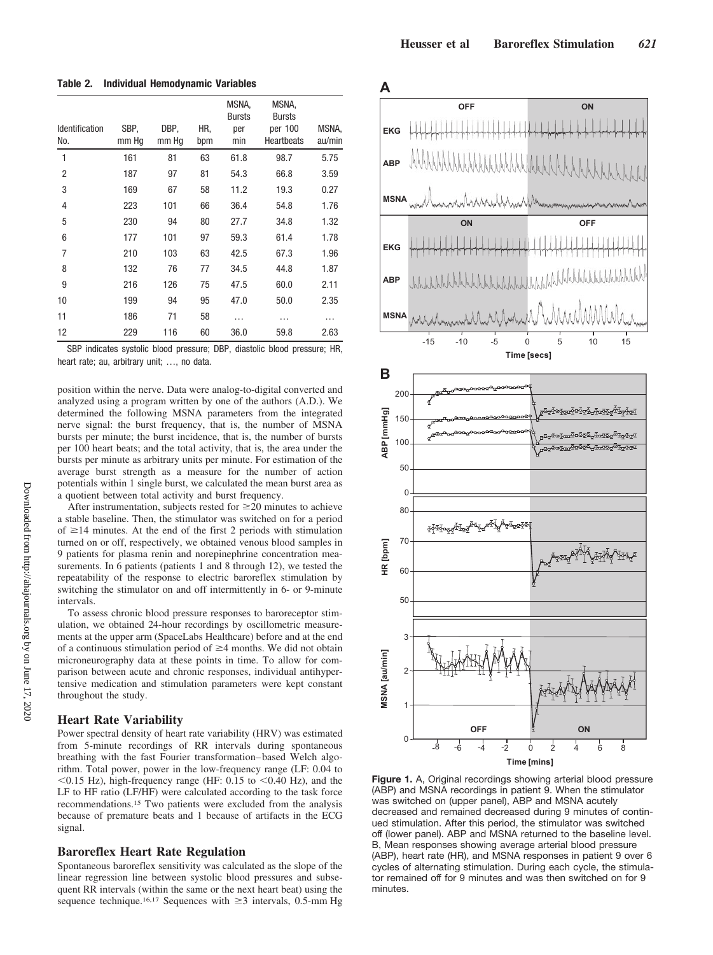**Table 2. Individual Hemodynamic Variables**

| Identification<br>No. | SBP.<br>mm Hg | DBP.<br>mm Hg | HR.<br>bpm | MSNA,<br><b>Bursts</b><br>per<br>min | MSNA,<br><b>Bursts</b><br>per 100<br><b>Heartbeats</b> | MSNA,<br>au/min |
|-----------------------|---------------|---------------|------------|--------------------------------------|--------------------------------------------------------|-----------------|
| 1                     | 161           | 81            | 63         | 61.8                                 | 98.7                                                   | 5.75            |
| 2                     | 187           | 97            | 81         | 54.3                                 | 66.8                                                   | 3.59            |
| 3                     | 169           | 67            | 58         | 11.2                                 | 19.3                                                   | 0.27            |
| 4                     | 223           | 101           | 66         | 36.4                                 | 54.8                                                   | 1.76            |
| 5                     | 230           | 94            | 80         | 27.7                                 | 34.8                                                   | 1.32            |
| 6                     | 177           | 101           | 97         | 59.3                                 | 61.4                                                   | 1.78            |
| $\overline{7}$        | 210           | 103           | 63         | 42.5                                 | 67.3                                                   | 1.96            |
| 8                     | 132           | 76            | 77         | 34.5                                 | 44.8                                                   | 1.87            |
| 9                     | 216           | 126           | 75         | 47.5                                 | 60.0                                                   | 2.11            |
| 10                    | 199           | 94            | 95         | 47.0                                 | 50.0                                                   | 2.35            |
| 11                    | 186           | 71            | 58         | .                                    | .                                                      | .               |
| 12                    | 229           | 116           | 60         | 36.0                                 | 59.8                                                   | 2.63            |

SBP indicates systolic blood pressure; DBP, diastolic blood pressure; HR, heart rate; au, arbitrary unit; …, no data.

position within the nerve. Data were analog-to-digital converted and analyzed using a program written by one of the authors (A.D.). We determined the following MSNA parameters from the integrated nerve signal: the burst frequency, that is, the number of MSNA bursts per minute; the burst incidence, that is, the number of bursts per 100 heart beats; and the total activity, that is, the area under the bursts per minute as arbitrary units per minute. For estimation of the average burst strength as a measure for the number of action potentials within 1 single burst, we calculated the mean burst area as a quotient between total activity and burst frequency.

After instrumentation, subjects rested for  $\geq$  20 minutes to achieve a stable baseline. Then, the stimulator was switched on for a period of  $\geq$ 14 minutes. At the end of the first 2 periods with stimulation turned on or off, respectively, we obtained venous blood samples in 9 patients for plasma renin and norepinephrine concentration measurements. In 6 patients (patients 1 and 8 through 12), we tested the repeatability of the response to electric baroreflex stimulation by switching the stimulator on and off intermittently in 6- or 9-minute intervals.

To assess chronic blood pressure responses to baroreceptor stimulation, we obtained 24-hour recordings by oscillometric measurements at the upper arm (SpaceLabs Healthcare) before and at the end of a continuous stimulation period of  $\geq$ 4 months. We did not obtain microneurography data at these points in time. To allow for comparison between acute and chronic responses, individual antihypertensive medication and stimulation parameters were kept constant throughout the study.

# **Heart Rate Variability**

Power spectral density of heart rate variability (HRV) was estimated from 5-minute recordings of RR intervals during spontaneous breathing with the fast Fourier transformation– based Welch algorithm. Total power, power in the low-frequency range (LF: 0.04 to  $0.15$  Hz), high-frequency range (HF: 0.15 to  $0.40$  Hz), and the LF to HF ratio (LF/HF) were calculated according to the task force recommendations.15 Two patients were excluded from the analysis because of premature beats and 1 because of artifacts in the ECG signal.

#### **Baroreflex Heart Rate Regulation**

Spontaneous baroreflex sensitivity was calculated as the slope of the linear regression line between systolic blood pressures and subsequent RR intervals (within the same or the next heart beat) using the sequence technique.<sup>16,17</sup> Sequences with  $\geq 3$  intervals, 0.5-mm Hg



**Figure 1.** A, Original recordings showing arterial blood pressure (ABP) and MSNA recordings in patient 9. When the stimulator was switched on (upper panel), ABP and MSNA acutely decreased and remained decreased during 9 minutes of continued stimulation. After this period, the stimulator was switched off (lower panel). ABP and MSNA returned to the baseline level. B, Mean responses showing average arterial blood pressure (ABP), heart rate (HR), and MSNA responses in patient 9 over 6 cycles of alternating stimulation. During each cycle, the stimulator remained off for 9 minutes and was then switched on for 9 minutes.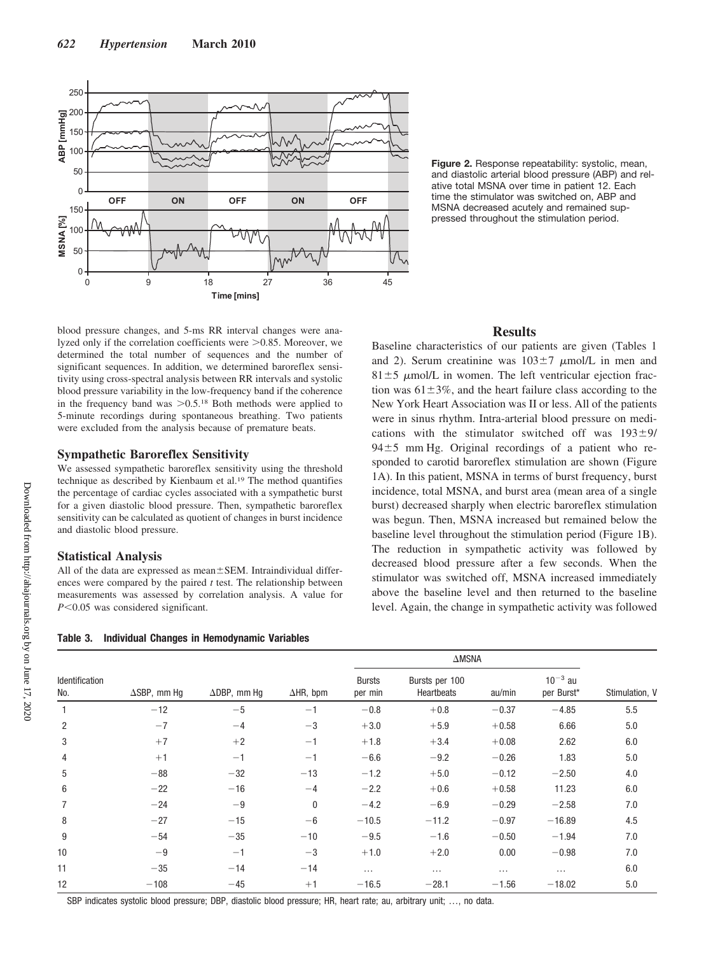

**Figure 2.** Response repeatability: systolic, mean, and diastolic arterial blood pressure (ABP) and relative total MSNA over time in patient 12. Each time the stimulator was switched on, ABP and MSNA decreased acutely and remained suppressed throughout the stimulation period.

# **Results**

blood pressure changes, and 5-ms RR interval changes were analyzed only if the correlation coefficients were  $>0.85$ . Moreover, we determined the total number of sequences and the number of significant sequences. In addition, we determined baroreflex sensitivity using cross-spectral analysis between RR intervals and systolic blood pressure variability in the low-frequency band if the coherence in the frequency band was  $>0.5^{18}$  Both methods were applied to 5-minute recordings during spontaneous breathing. Two patients were excluded from the analysis because of premature beats.

# **Sympathetic Baroreflex Sensitivity**

We assessed sympathetic baroreflex sensitivity using the threshold technique as described by Kienbaum et al.19 The method quantifies the percentage of cardiac cycles associated with a sympathetic burst for a given diastolic blood pressure. Then, sympathetic baroreflex sensitivity can be calculated as quotient of changes in burst incidence and diastolic blood pressure.

# **Statistical Analysis**

All of the data are expressed as mean $\pm$ SEM. Intraindividual differences were compared by the paired *t* test. The relationship between measurements was assessed by correlation analysis. A value for *P*<0.05 was considered significant.

**Table 3. Individual Changes in Hemodynamic Variables**

Baseline characteristics of our patients are given (Tables 1 and 2). Serum creatinine was  $103 \pm 7$   $\mu$ mol/L in men and  $81 \pm 5$  µmol/L in women. The left ventricular ejection fraction was  $61\pm3\%$ , and the heart failure class according to the New York Heart Association was II or less. All of the patients were in sinus rhythm. Intra-arterial blood pressure on medications with the stimulator switched off was  $193\pm9/$  $94\pm5$  mm Hg. Original recordings of a patient who responded to carotid baroreflex stimulation are shown (Figure 1A). In this patient, MSNA in terms of burst frequency, burst incidence, total MSNA, and burst area (mean area of a single burst) decreased sharply when electric baroreflex stimulation was begun. Then, MSNA increased but remained below the baseline level throughout the stimulation period (Figure 1B). The reduction in sympathetic activity was followed by decreased blood pressure after a few seconds. When the stimulator was switched off, MSNA increased immediately above the baseline level and then returned to the baseline level. Again, the change in sympathetic activity was followed

|                       |                     |                     |                  | $\Delta$ MSNA            |                              |          |                            |                |
|-----------------------|---------------------|---------------------|------------------|--------------------------|------------------------------|----------|----------------------------|----------------|
| Identification<br>No. | $\Delta$ SBP, mm Hg | $\Delta$ DBP, mm Hg | $\Delta$ HR, bpm | <b>Bursts</b><br>per min | Bursts per 100<br>Heartbeats | au/min   | $10^{-3}$ au<br>per Burst* | Stimulation, V |
| $\mathbf{1}$          | $-12$               | $-5$                | $-1$             | $-0.8$                   | $+0.8$                       | $-0.37$  | $-4.85$                    | 5.5            |
| $\overline{2}$        | $-7$                | $-4$                | $-3$             | $+3.0$                   | $+5.9$                       | $+0.58$  | 6.66                       | 5.0            |
| 3                     | $+7$                | $+2$                | $-1$             | $+1.8$                   | $+3.4$                       | $+0.08$  | 2.62                       | 6.0            |
| 4                     | $+1$                | $-1$                | $-1$             | $-6.6$                   | $-9.2$                       | $-0.26$  | 1.83                       | 5.0            |
| 5                     | $-88$               | $-32$               | $-13$            | $-1.2$                   | $+5.0$                       | $-0.12$  | $-2.50$                    | 4.0            |
| 6                     | $-22$               | $-16$               | $-4$             | $-2.2$                   | $+0.6$                       | $+0.58$  | 11.23                      | 6.0            |
| $\overline{7}$        | $-24$               | $-9$                | $\bf{0}$         | $-4.2$                   | $-6.9$                       | $-0.29$  | $-2.58$                    | 7.0            |
| 8                     | $-27$               | $-15$               | $-6$             | $-10.5$                  | $-11.2$                      | $-0.97$  | $-16.89$                   | 4.5            |
| 9                     | $-54$               | $-35$               | $-10$            | $-9.5$                   | $-1.6$                       | $-0.50$  | $-1.94$                    | 7.0            |
| 10                    | $-9$                | $-1$                | $-3$             | $+1.0$                   | $+2.0$                       | 0.00     | $-0.98$                    | 7.0            |
| 11                    | $-35$               | $-14$               | $-14$            | $\cdots$                 | $\cdots$                     | $\cdots$ | $\cdots$                   | 6.0            |
| 12                    | $-108$              | $-45$               | $+1$             | $-16.5$                  | $-28.1$                      | $-1.56$  | $-18.02$                   | 5.0            |

SBP indicates systolic blood pressure; DBP, diastolic blood pressure; HR, heart rate; au, arbitrary unit; …, no data.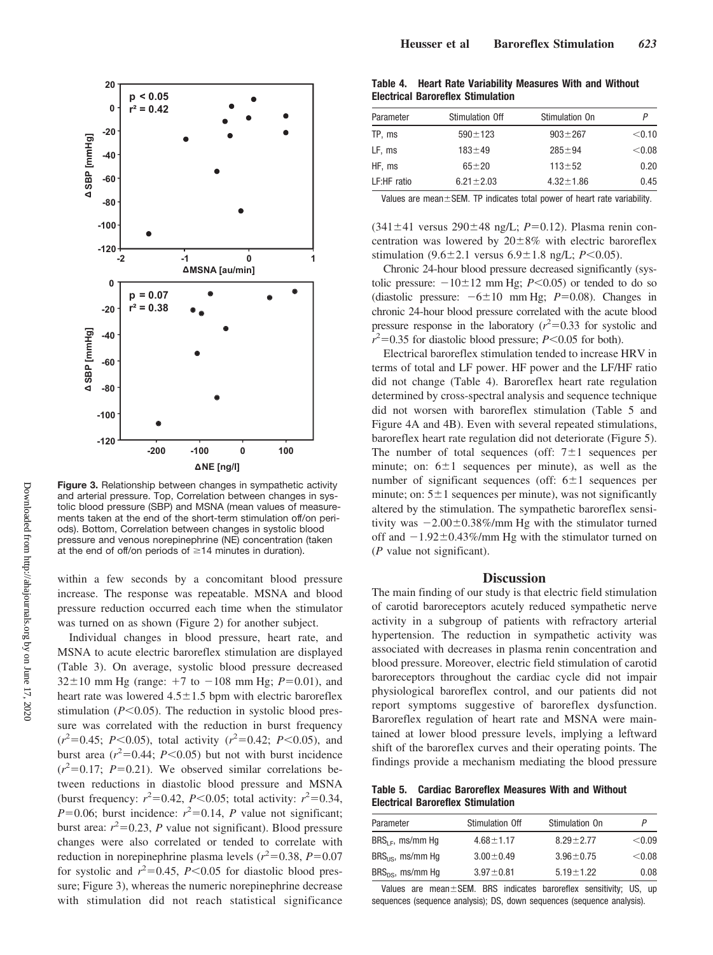

**Figure 3.** Relationship between changes in sympathetic activity and arterial pressure. Top, Correlation between changes in systolic blood pressure (SBP) and MSNA (mean values of measurements taken at the end of the short-term stimulation off/on periods). Bottom, Correlation between changes in systolic blood pressure and venous norepinephrine (NE) concentration (taken at the end of off/on periods of  $\geq$ 14 minutes in duration).

within a few seconds by a concomitant blood pressure increase. The response was repeatable. MSNA and blood pressure reduction occurred each time when the stimulator was turned on as shown (Figure 2) for another subject.

Individual changes in blood pressure, heart rate, and MSNA to acute electric baroreflex stimulation are displayed (Table 3). On average, systolic blood pressure decreased  $32 \pm 10$  mm Hg (range:  $+7$  to  $-108$  mm Hg;  $P=0.01$ ), and heart rate was lowered  $4.5 \pm 1.5$  bpm with electric baroreflex stimulation  $(P<0.05)$ . The reduction in systolic blood pressure was correlated with the reduction in burst frequency  $(r^2=0.45; P<0.05)$ , total activity  $(r^2=0.42; P<0.05)$ , and burst area  $(r^2=0.44; P<0.05)$  but not with burst incidence  $(r^2=0.17; P=0.21)$ . We observed similar correlations between reductions in diastolic blood pressure and MSNA (burst frequency:  $r^2 = 0.42$ ,  $P < 0.05$ ; total activity:  $r^2 = 0.34$ ,  $P=0.06$ ; burst incidence:  $r^2=0.14$ , *P* value not significant; burst area:  $r^2$ =0.23, *P* value not significant). Blood pressure changes were also correlated or tended to correlate with reduction in norepinephrine plasma levels  $(r^2=0.38, P=0.07)$ for systolic and  $r^2$ =0.45, *P*<0.05 for diastolic blood pressure; Figure 3), whereas the numeric norepinephrine decrease with stimulation did not reach statistical significance

**Table 4. Heart Rate Variability Measures With and Without Electrical Baroreflex Stimulation**

| Parameter   | Stimulation Off | Stimulation On  |        |
|-------------|-----------------|-----------------|--------|
| TP, ms      | $590 + 123$     | $903 + 267$     | < 0.10 |
| LF, ms      | $183 + 49$      | $285 + 94$      | < 0.08 |
| HF, ms      | $65 + 20$       | $113 + 52$      | 0.20   |
| LF:HF ratio | $6.21 \pm 2.03$ | $4.32 \pm 1.86$ | 0.45   |
|             |                 |                 |        |

Values are mean $\pm$ SEM. TP indicates total power of heart rate variability.

 $(341 \pm 41 \text{ versus } 290 \pm 48 \text{ ng/L}; P=0.12)$ . Plasma renin concentration was lowered by  $20 \pm 8\%$  with electric baroreflex stimulation  $(9.6 \pm 2.1 \text{ versus } 6.9 \pm 1.8 \text{ ng/L}; P < 0.05)$ .

Chronic 24-hour blood pressure decreased significantly (systolic pressure:  $-10\pm 12$  mm Hg;  $P<0.05$ ) or tended to do so (diastolic pressure:  $-6\pm10$  mm Hg;  $P=0.08$ ). Changes in chronic 24-hour blood pressure correlated with the acute blood pressure response in the laboratory  $(r^2=0.33)$  for systolic and  $r^2$ =0.35 for diastolic blood pressure; *P*<0.05 for both).

Electrical baroreflex stimulation tended to increase HRV in terms of total and LF power. HF power and the LF/HF ratio did not change (Table 4). Baroreflex heart rate regulation determined by cross-spectral analysis and sequence technique did not worsen with baroreflex stimulation (Table 5 and Figure 4A and 4B). Even with several repeated stimulations, baroreflex heart rate regulation did not deteriorate (Figure 5). The number of total sequences (off:  $7\pm1$  sequences per minute; on:  $6\pm 1$  sequences per minute), as well as the number of significant sequences (off:  $6\pm 1$  sequences per minute; on:  $5\pm1$  sequences per minute), was not significantly altered by the stimulation. The sympathetic baroreflex sensitivity was  $-2.00\pm0.38\%$ /mm Hg with the stimulator turned off and  $-1.92\pm0.43\%$ /mm Hg with the stimulator turned on (*P* value not significant).

### **Discussion**

The main finding of our study is that electric field stimulation of carotid baroreceptors acutely reduced sympathetic nerve activity in a subgroup of patients with refractory arterial hypertension. The reduction in sympathetic activity was associated with decreases in plasma renin concentration and blood pressure. Moreover, electric field stimulation of carotid baroreceptors throughout the cardiac cycle did not impair physiological baroreflex control, and our patients did not report symptoms suggestive of baroreflex dysfunction. Baroreflex regulation of heart rate and MSNA were maintained at lower blood pressure levels, implying a leftward shift of the baroreflex curves and their operating points. The findings provide a mechanism mediating the blood pressure

**Table 5. Cardiac Baroreflex Measures With and Without Electrical Baroreflex Stimulation**

| Parameter                    | Stimulation Off | Stimulation On  |        |
|------------------------------|-----------------|-----------------|--------|
| BRS <sub>LE</sub> , ms/mm Hg | $4.68 \pm 1.17$ | $8.29 \pm 2.77$ | < 0.09 |
| $BRS_{HS}$ , ms/mm Hq        | $3.00 \pm 0.49$ | $3.96 \pm 0.75$ | < 0.08 |
| $BRS_{DS}$ , ms/mm Hg        | $3.97 \pm 0.81$ | $5.19 \pm 1.22$ | 0.08   |

Values are mean $\pm$ SEM. BRS indicates baroreflex sensitivity; US, up sequences (sequence analysis); DS, down sequences (sequence analysis).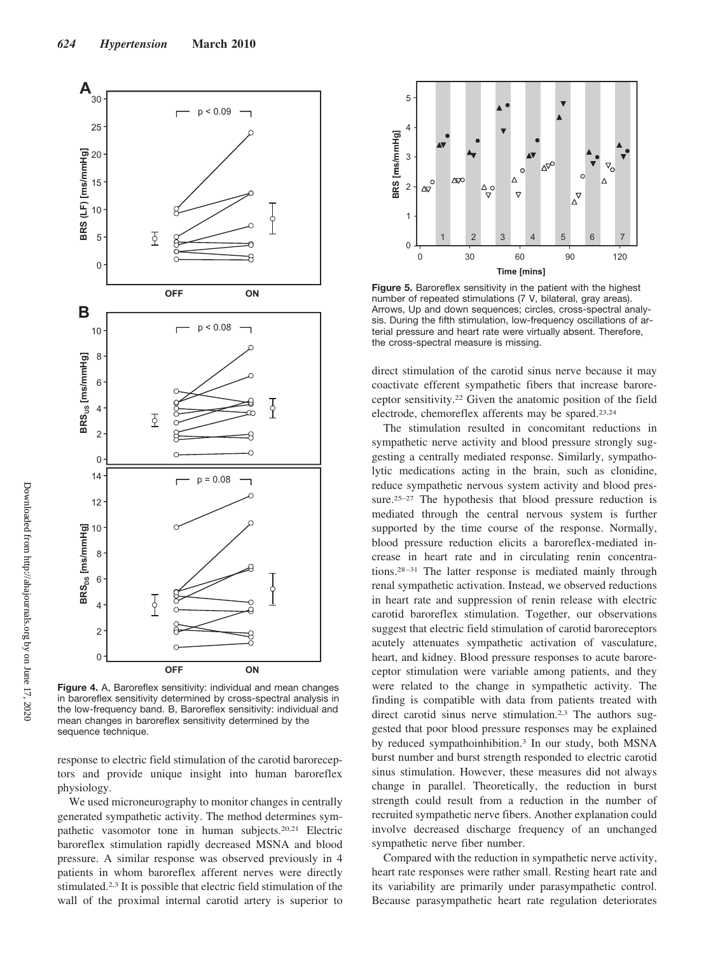

**Figure 4.** A, Baroreflex sensitivity: individual and mean changes in baroreflex sensitivity determined by cross-spectral analysis in the low-frequency band. B, Baroreflex sensitivity: individual and mean changes in baroreflex sensitivity determined by the sequence technique.

response to electric field stimulation of the carotid baroreceptors and provide unique insight into human baroreflex physiology.

We used microneurography to monitor changes in centrally generated sympathetic activity. The method determines sympathetic vasomotor tone in human subjects.20,21 Electric baroreflex stimulation rapidly decreased MSNA and blood pressure. A similar response was observed previously in 4 patients in whom baroreflex afferent nerves were directly stimulated.2,3 It is possible that electric field stimulation of the wall of the proximal internal carotid artery is superior to



**Figure 5.** Baroreflex sensitivity in the patient with the highest number of repeated stimulations (7 V, bilateral, gray areas). Arrows, Up and down sequences; circles, cross-spectral analysis. During the fifth stimulation, low-frequency oscillations of arterial pressure and heart rate were virtually absent. Therefore, the cross-spectral measure is missing.

direct stimulation of the carotid sinus nerve because it may coactivate efferent sympathetic fibers that increase baroreceptor sensitivity.22 Given the anatomic position of the field electrode, chemoreflex afferents may be spared.23,24

The stimulation resulted in concomitant reductions in sympathetic nerve activity and blood pressure strongly suggesting a centrally mediated response. Similarly, sympatholytic medications acting in the brain, such as clonidine, reduce sympathetic nervous system activity and blood pressure.<sup>25–27</sup> The hypothesis that blood pressure reduction is mediated through the central nervous system is further supported by the time course of the response. Normally, blood pressure reduction elicits a baroreflex-mediated increase in heart rate and in circulating renin concentrations.28 –31 The latter response is mediated mainly through renal sympathetic activation. Instead, we observed reductions in heart rate and suppression of renin release with electric carotid baroreflex stimulation. Together, our observations suggest that electric field stimulation of carotid baroreceptors acutely attenuates sympathetic activation of vasculature, heart, and kidney. Blood pressure responses to acute baroreceptor stimulation were variable among patients, and they were related to the change in sympathetic activity. The finding is compatible with data from patients treated with direct carotid sinus nerve stimulation.<sup>2,3</sup> The authors suggested that poor blood pressure responses may be explained by reduced sympathoinhibition.3 In our study, both MSNA burst number and burst strength responded to electric carotid sinus stimulation. However, these measures did not always change in parallel. Theoretically, the reduction in burst strength could result from a reduction in the number of recruited sympathetic nerve fibers. Another explanation could involve decreased discharge frequency of an unchanged sympathetic nerve fiber number.

Compared with the reduction in sympathetic nerve activity, heart rate responses were rather small. Resting heart rate and its variability are primarily under parasympathetic control. Because parasympathetic heart rate regulation deteriorates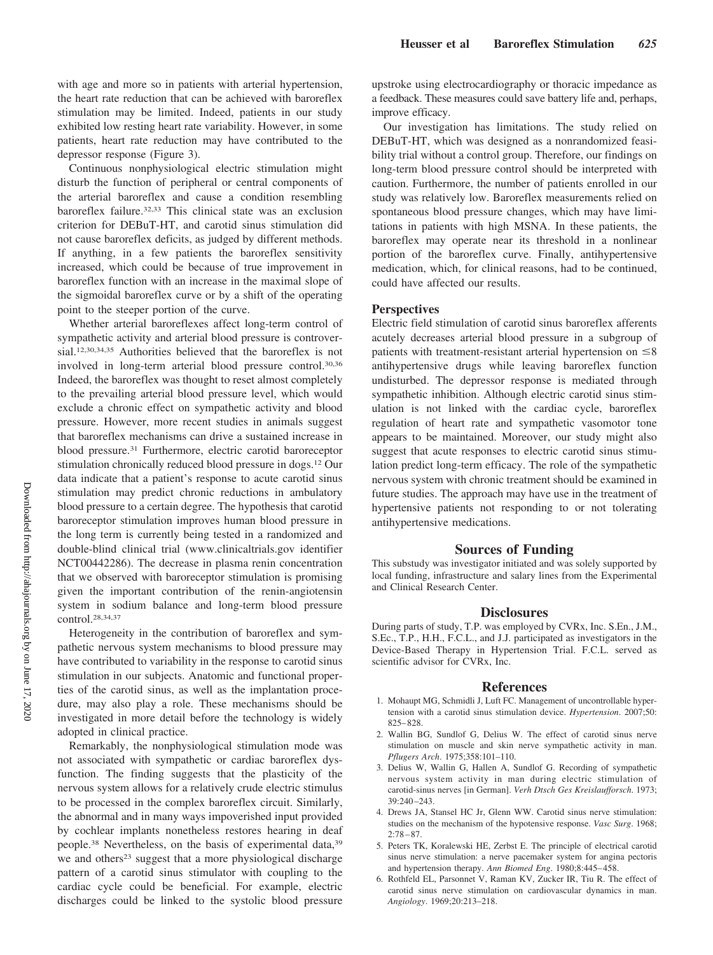with age and more so in patients with arterial hypertension, the heart rate reduction that can be achieved with baroreflex stimulation may be limited. Indeed, patients in our study exhibited low resting heart rate variability. However, in some patients, heart rate reduction may have contributed to the depressor response (Figure 3).

Continuous nonphysiological electric stimulation might disturb the function of peripheral or central components of the arterial baroreflex and cause a condition resembling baroreflex failure.32,33 This clinical state was an exclusion criterion for DEBuT-HT, and carotid sinus stimulation did not cause baroreflex deficits, as judged by different methods. If anything, in a few patients the baroreflex sensitivity increased, which could be because of true improvement in baroreflex function with an increase in the maximal slope of the sigmoidal baroreflex curve or by a shift of the operating point to the steeper portion of the curve.

Whether arterial baroreflexes affect long-term control of sympathetic activity and arterial blood pressure is controversial.12,30,34,35 Authorities believed that the baroreflex is not involved in long-term arterial blood pressure control.30,36 Indeed, the baroreflex was thought to reset almost completely to the prevailing arterial blood pressure level, which would exclude a chronic effect on sympathetic activity and blood pressure. However, more recent studies in animals suggest that baroreflex mechanisms can drive a sustained increase in blood pressure.31 Furthermore, electric carotid baroreceptor stimulation chronically reduced blood pressure in dogs.12 Our data indicate that a patient's response to acute carotid sinus stimulation may predict chronic reductions in ambulatory blood pressure to a certain degree. The hypothesis that carotid baroreceptor stimulation improves human blood pressure in the long term is currently being tested in a randomized and double-blind clinical trial (www.clinicaltrials.gov identifier NCT00442286). The decrease in plasma renin concentration that we observed with baroreceptor stimulation is promising given the important contribution of the renin-angiotensin system in sodium balance and long-term blood pressure control.28,34,37

Heterogeneity in the contribution of baroreflex and sympathetic nervous system mechanisms to blood pressure may have contributed to variability in the response to carotid sinus stimulation in our subjects. Anatomic and functional properties of the carotid sinus, as well as the implantation procedure, may also play a role. These mechanisms should be investigated in more detail before the technology is widely adopted in clinical practice.

Remarkably, the nonphysiological stimulation mode was not associated with sympathetic or cardiac baroreflex dysfunction. The finding suggests that the plasticity of the nervous system allows for a relatively crude electric stimulus to be processed in the complex baroreflex circuit. Similarly, the abnormal and in many ways impoverished input provided by cochlear implants nonetheless restores hearing in deaf people.38 Nevertheless, on the basis of experimental data,39 we and others<sup>23</sup> suggest that a more physiological discharge pattern of a carotid sinus stimulator with coupling to the cardiac cycle could be beneficial. For example, electric discharges could be linked to the systolic blood pressure

upstroke using electrocardiography or thoracic impedance as a feedback. These measures could save battery life and, perhaps, improve efficacy.

Our investigation has limitations. The study relied on DEBuT-HT, which was designed as a nonrandomized feasibility trial without a control group. Therefore, our findings on long-term blood pressure control should be interpreted with caution. Furthermore, the number of patients enrolled in our study was relatively low. Baroreflex measurements relied on spontaneous blood pressure changes, which may have limitations in patients with high MSNA. In these patients, the baroreflex may operate near its threshold in a nonlinear portion of the baroreflex curve. Finally, antihypertensive medication, which, for clinical reasons, had to be continued, could have affected our results.

## **Perspectives**

Electric field stimulation of carotid sinus baroreflex afferents acutely decreases arterial blood pressure in a subgroup of patients with treatment-resistant arterial hypertension on  $\leq 8$ antihypertensive drugs while leaving baroreflex function undisturbed. The depressor response is mediated through sympathetic inhibition. Although electric carotid sinus stimulation is not linked with the cardiac cycle, baroreflex regulation of heart rate and sympathetic vasomotor tone appears to be maintained. Moreover, our study might also suggest that acute responses to electric carotid sinus stimulation predict long-term efficacy. The role of the sympathetic nervous system with chronic treatment should be examined in future studies. The approach may have use in the treatment of hypertensive patients not responding to or not tolerating antihypertensive medications.

## **Sources of Funding**

This substudy was investigator initiated and was solely supported by local funding, infrastructure and salary lines from the Experimental and Clinical Research Center.

## **Disclosures**

During parts of study, T.P. was employed by CVRx, Inc. S.En., J.M., S.Ec., T.P., H.H., F.C.L., and J.J. participated as investigators in the Device-Based Therapy in Hypertension Trial. F.C.L. served as scientific advisor for CVRx, Inc.

## **References**

- 1. Mohaupt MG, Schmidli J, Luft FC. Management of uncontrollable hypertension with a carotid sinus stimulation device. *Hypertension*. 2007;50: 825– 828.
- 2. Wallin BG, Sundlof G, Delius W. The effect of carotid sinus nerve stimulation on muscle and skin nerve sympathetic activity in man. *Pflugers Arch*. 1975;358:101–110.
- 3. Delius W, Wallin G, Hallen A, Sundlof G. Recording of sympathetic nervous system activity in man during electric stimulation of carotid-sinus nerves [in German]. *Verh Dtsch Ges Kreislaufforsch*. 1973; 39:240 –243.
- 4. Drews JA, Stansel HC Jr, Glenn WW. Carotid sinus nerve stimulation: studies on the mechanism of the hypotensive response. *Vasc Surg*. 1968;  $2:78 - 87.$
- 5. Peters TK, Koralewski HE, Zerbst E. The principle of electrical carotid sinus nerve stimulation: a nerve pacemaker system for angina pectoris and hypertension therapy. *Ann Biomed Eng*. 1980;8:445– 458.
- 6. Rothfeld EL, Parsonnet V, Raman KV, Zucker IR, Tiu R. The effect of carotid sinus nerve stimulation on cardiovascular dynamics in man. *Angiology*. 1969;20:213–218.